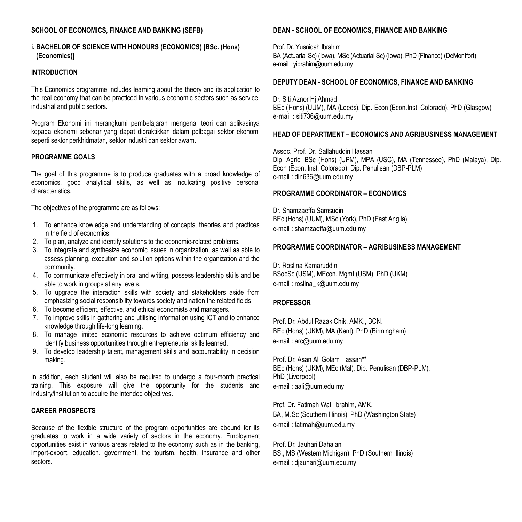#### **SCHOOL OF ECONOMICS, FINANCE AND BANKING (SEFB)**

#### **i. BACHELOR OF SCIENCE WITH HONOURS (ECONOMICS) [BSc. (Hons) (Economics)]**

#### **INTRODUCTION**

This Economics programme includes learning about the theory and its application to the real economy that can be practiced in various economic sectors such as service, industrial and public sectors.

Program Ekonomi ini merangkumi pembelajaran mengenai teori dan aplikasinya kepada ekonomi sebenar yang dapat dipraktikkan dalam pelbagai sektor ekonomi seperti sektor perkhidmatan, sektor industri dan sektor awam.

#### **PROGRAMME GOALS**

The goal of this programme is to produce graduates with a broad knowledge of economics, good analytical skills, as well as inculcating positive personal characteristics.

The objectives of the programme are as follows:

- 1. To enhance knowledge and understanding of concepts, theories and practices in the field of economics.
- 2. To plan, analyze and identify solutions to the economic-related problems.
- 3. To integrate and synthesize economic issues in organization, as well as able to assess planning, execution and solution options within the organization and the community.
- 4. To communicate effectively in oral and writing, possess leadership skills and be able to work in groups at any levels.
- 5. To upgrade the interaction skills with society and stakeholders aside from emphasizing social responsibility towards society and nation the related fields.
- 6. To become efficient, effective, and ethical economists and managers.
- 7. To improve skills in gathering and utilising information using ICT and to enhance knowledge through life-long learning.
- 8. To manage limited economic resources to achieve optimum efficiency and identify business opportunities through entrepreneurial skills learned.
- 9. To develop leadership talent, management skills and accountability in decision making.

In addition, each student will also be required to undergo a four-month practical training. This exposure will give the opportunity for the students and industry/institution to acquire the intended objectives.

#### **CAREER PROSPECTS**

Because of the flexible structure of the program opportunities are abound for its graduates to work in a wide variety of sectors in the economy. Employment opportunities exist in various areas related to the economy such as in the banking, import-export, education, government, the tourism, health, insurance and other sectors.

#### **DEAN - SCHOOL OF ECONOMICS, FINANCE AND BANKING**

Prof. Dr. Yusnidah Ibrahim BA (Actuarial Sc) (Iowa), MSc (Actuarial Sc) (Iowa), PhD (Finance) (DeMontfort) e-mail : [yibrahim@uum.edu.my](mailto:aali@uum.edu.my)

#### **DEPUTY DEAN - SCHOOL OF ECONOMICS, FINANCE AND BANKING**

Dr. Siti Aznor Hj Ahmad BEc (Hons) (UUM), MA (Leeds), Dip. Econ (Econ.Inst, Colorado), PhD (Glasgow) e-mail : [siti736@uum.edu.my](mailto:siti736@uum.edu.my)

#### **HEAD OF DEPARTMENT – ECONOMICS AND AGRIBUSINESS MANAGEMENT**

Assoc. Prof. Dr. Sallahuddin Hassan Dip. Agric, BSc (Hons) (UPM), MPA (USC), MA (Tennessee), PhD (Malaya), Dip. Econ (Econ. Inst. Colorado), Dip. Penulisan (DBP-PLM) e-mail : [din636@uum.edu.my](mailto:din636@uum.edu.my)

#### **PROGRAMME COORDINATOR – ECONOMICS**

Dr. Shamzaeffa Samsudin BEc (Hons) (UUM), MSc (York), PhD (East Anglia) e-mail : [shamzaeffa@uum.edu.my](mailto:shamzaeffa@uum.edu.my)

#### **PROGRAMME COORDINATOR – AGRIBUSINESS MANAGEMENT**

Dr. Roslina Kamaruddin BSocSc (USM), MEcon. Mgmt (USM), PhD (UKM) e-mail : [roslina\\_k@uum.edu.my](mailto:roslina_k@uum.edu.my)

#### **PROFESSOR**

Prof. Dr. Abdul Razak Chik, AMK., BCN. BEc (Hons) (UKM), MA (Kent), PhD (Birmingham) e-mail : [arc@uum.edu.my](mailto:arc@uum.edu.my)

Prof. Dr. Asan Ali Golam Hassan\*\* BEc (Hons) (UKM), MEc (Mal), Dip. Penulisan (DBP-PLM), PhD (Liverpool) e-mail : [aali@uum.edu.my](mailto:aali@uum.edu.my)

Prof. Dr. Fatimah Wati Ibrahim, AMK. BA, M.Sc (Southern Illinois), PhD (Washington State) e-mail : [fatimah@uum.edu.my](mailto:fatimah@uum.edu.my)

Prof. Dr. Jauhari Dahalan BS., MS (Western Michigan), PhD (Southern Illinois) e-mail : [djauhari@uum.edu.my](mailto:djauhari@uum.edu.my)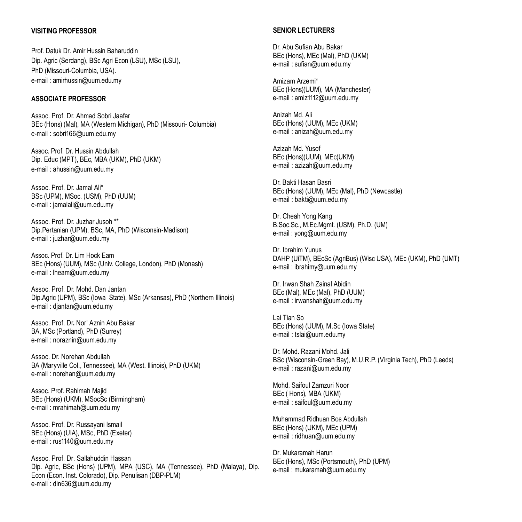## **VISITING PROFESSOR**

Prof. Datuk Dr. Amir Hussin Baharuddin Dip. Agric (Serdang), BSc Agri Econ (LSU), MSc (LSU), PhD (Missouri-Columbia, USA). e-mail : [amirhussin@uum.edu.my](mailto:amirhussin@uum.edu.my)

## **ASSOCIATE PROFESSOR**

Assoc. Prof. Dr. Ahmad Sobri Jaafar BEc (Hons) (Mal), MA (Western Michigan), PhD (Missouri- Columbia) e-mail : [sobri166@uum.edu.my](mailto:sobri166@uum.edu.my)

Assoc. Prof. Dr. Hussin Abdullah Dip. Educ (MPT), BEc, MBA (UKM), PhD (UKM) e-mail : [ahussin@uum.edu.my](mailto:ahussin@uum.edu.my)

Assoc. Prof. Dr. Jamal Ali\* BSc (UPM), MSoc. (USM), PhD (UUM) e-mail : [jamalali@uum.edu.my](mailto:jamalali@uum.edu.my)

Assoc. Prof. Dr. Juzhar Jusoh \*\* Dip.Pertanian (UPM), BSc, MA, PhD (Wisconsin-Madison) e-mail : [juzhar@uum.edu.my](mailto:juzhar@uum.edu.my)

Assoc. Prof. Dr. Lim Hock Eam BEc (Hons) (UUM), MSc (Univ. College, London), PhD (Monash) e-mail : [lheam@uum.edu.my](mailto:lheam@uum.edu.my)

Assoc. Prof. Dr. Mohd. Dan Jantan Dip.Agric (UPM), BSc (Iowa State), MSc (Arkansas), PhD (Northern Illinois) e-mail : [djantan@uum.edu.my](mailto:djantan@uum.edu.my)

Assoc. Prof. Dr**.** Nor' Aznin Abu Bakar BA, MSc (Portland), PhD (Surrey) e-mail : [noraznin@uum.edu.my](mailto:noraznin@uum.edu.my)

Assoc. Dr. Norehan Abdullah BA (Maryville Col., Tennessee), MA (West. Illinois), PhD (UKM) e-mail : [norehan@uum.edu.my](mailto:norehan@uum.edu.my)

Assoc. Prof. Rahimah Majid BEc (Hons) (UKM), MSocSc (Birmingham) e-mail : [mrahimah@uum.edu.my](mailto:mrahimah@uum.edu.my)

Assoc. Prof. Dr. Russayani Ismail BEc (Hons) (UIA), MSc, PhD (Exeter) e-mail : [rus1140@uum.edu.my](mailto:rus1140@uum.edu.my)

Assoc. Prof. Dr. Sallahuddin Hassan Dip. Agric, BSc (Hons) (UPM), MPA (USC), MA (Tennessee), PhD (Malaya), Dip. Econ (Econ. Inst. Colorado), Dip. Penulisan (DBP-PLM) e-mail : [din636@uum.edu.my](mailto:din636@uum.edu.my)

#### **SENIOR LECTURERS**

Dr. Abu Sufian Abu Bakar BEc (Hons), MEc (Mal), PhD (UKM) e-mail : [sufian@uum.edu.my](mailto:sufian@uum.edu.my)

Amizam Arzemi\* BEc (Hons)(UUM), MA (Manchester) e-mail : [amiz1112@uum.edu.my](mailto:amiz1112@uum.edu.my)

Anizah Md. Ali BEc (Hons) (UUM), MEc (UKM) e-mail : [anizah@uum.edu.my](mailto:anizah@uum.edu.my)

Azizah Md. Yusof BEc (Hons)(UUM), MEc(UKM) e-mail : [azizah@uum.edu.my](mailto:azizah@uum.edu.my)

Dr. Bakti Hasan Basri BEc (Hons) (UUM), MEc (Mal), PhD (Newcastle) e-mail : [bakti@uum.edu.my](mailto:bakti@uum.edu.my)

Dr. Cheah Yong Kang B.Soc.Sc., M.Ec.Mgmt. (USM), Ph.D. (UM) e-mail : yong@uum.edu.my

Dr. Ibrahim Yunus DAHP (UiTM), BEcSc (AgriBus) (Wisc USA), MEc (UKM), PhD (UMT) e-mail : ibrahimy@uum.edu.my

Dr. Irwan Shah Zainal Abidin BEc (Mal), MEc (Mal), PhD (UUM) e-mail : [irwanshah@uum.edu.my](mailto:irwanshah@uum.edu.my)

Lai Tian So BEc (Hons) (UUM), M.Sc (Iowa State) e-mail : [tslai@uum.edu.my](mailto:tslai@uum.edu.my)

Dr. Mohd. Razani Mohd. Jali BSc (Wisconsin-Green Bay), M.U.R.P. (Virginia Tech), PhD (Leeds) e-mail : [razani@uum.edu.my](mailto:razani@uum.edu.my)

Mohd. Saifoul Zamzuri Noor BEc ( Hons), MBA (UKM) e-mail : [saifoul@uum.edu.my](mailto:saifoul@uum.edu.my)

Muhammad Ridhuan Bos Abdullah BEc (Hons) (UKM), MEc (UPM) e-mail : [ridhuan@uum.edu.my](mailto:ridhuan@uum.edu.my)

Dr. Mukaramah Harun BEc (Hons), MSc (Portsmouth), PhD (UPM) e-mail : mukaramah@uum.edu.my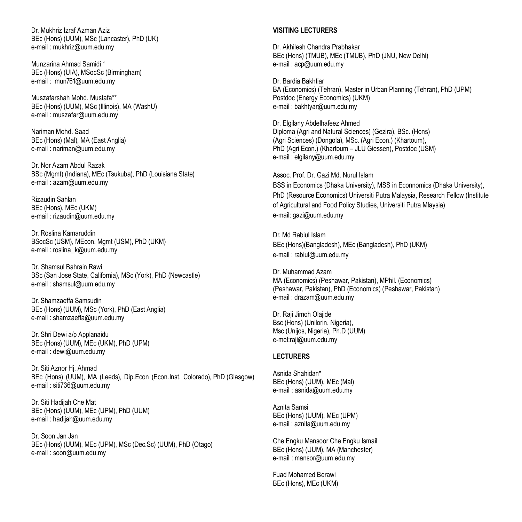Dr. Mukhriz Izraf Azman Aziz BEc (Hons) (UUM), MSc (Lancaster), PhD (UK) e-mail : [mukhriz@uum.edu.my](mailto:mukhriz@uum.edu.my)

Munzarina Ahmad Samidi \* BEc (Hons) (UIA), MSocSc (Birmingham) e-mail : [mun761@uum.edu.my](mailto:mun761@uum.edu.my)

Muszafarshah Mohd. Mustafa\*\* BEc (Hons) (UUM), MSc (Illinois), MA (WashU) e-mail : [muszafar@uum.edu.my](mailto:muszafar@uum.edu.my)

Nariman Mohd. Saad BEc (Hons) (Mal), MA (East Anglia) e-mail : [nariman@uum.edu.my](mailto:nariman@uum.edu.my)

Dr. Nor Azam Abdul Razak BSc (Mgmt) (Indiana), MEc (Tsukuba), PhD (Louisiana State) e-mail : [azam@uum.edu.my](mailto:azam@uum.edu.my)

Rizaudin Sahlan BEc (Hons), MEc (UKM) e-mail : [rizaudin@uum.edu.my](mailto:rizaudin@uum.edu.my)

Dr. Roslina Kamaruddin BSocSc (USM), MEcon. Mgmt (USM), PhD (UKM) e-mail : [roslina\\_k@uum.edu.my](mailto:roslina_k@uum.edu.my)

Dr. Shamsul Bahrain Rawi BSc (San Jose State, California), MSc (York), PhD (Newcastle) e-mail : [shamsul@uum.edu.my](mailto:shamsul@uum.edu.my)

Dr. Shamzaeffa Samsudin BEc (Hons) (UUM), MSc (York), PhD (East Anglia) e-mail : [shamzaeffa@uum.edu.my](mailto:shamzaeffa@uum.edu.my)

Dr. Shri Dewi a/p Applanaidu BEc (Hons) (UUM), MEc (UKM), PhD (UPM) e-mail : [dewi@uum.edu.my](mailto:dewi@uum.edu.my)

Dr. Siti Aznor Hj. Ahmad BEc (Hons) (UUM), MA (Leeds), Dip.Econ (Econ.Inst. Colorado), PhD (Glasgow) e-mail : [siti736@uum.edu.my](mailto:siti736@uum.edu.my)

Dr. Siti Hadijah Che Mat BEc (Hons) (UUM), MEc (UPM), PhD (UUM) e-mail : [hadijah@uum.edu.my](mailto:hadijah@uum.edu.my)

Dr. Soon Jan Jan BEc (Hons) (UUM), MEc (UPM), MSc (Dec.Sc) (UUM), PhD (Otago) e-mail : [soon@uum.edu.my](mailto:soon@uum.edu.my)

#### **VISITING LECTURERS**

Dr. Akhilesh Chandra Prabhakar BEc (Hons) (TMUB), MEc (TMUB), PhD (JNU, New Delhi) e-mail : acp@uum.edu.my

Dr. Bardia Bakhtiar BA (Economics) (Tehran), Master in Urban Planning (Tehran), PhD (UPM) Postdoc (Energy Economics) (UKM) e-mail : bakhtyar@uum.edu.my

Dr. Elgilany Abdelhafeez Ahmed Diploma (Agri and Natural Sciences) (Gezira), BSc. (Hons) (Agri Sciences) (Dongola), MSc. (Agri Econ.) (Khartoum), PhD (Agri Econ.) (Khartoum – JLU Giessen), Postdoc (USM) e-mail [: elgilany@uum.edu.my](mailto:elgilany@uum.edu.my)

Assoc. Prof. Dr. Gazi Md. Nurul Islam BSS in Economics (Dhaka University), MSS in Econnomics (Dhaka University), PhD (Resource Economics) Universiti Putra Malaysia, Research Fellow (Institute of Agricultural and Food Policy Studies, Universiti Putra Mlaysia) e-mail: gazi@uum.edu.my

Dr. Md Rabiul Islam BEc (Hons)(Bangladesh), MEc (Bangladesh), PhD (UKM) e-mail [: rabiul@uum.edu.my](mailto::%20rabiul@uum.edu.my)

Dr. Muhammad Azam MA (Economics) (Peshawar, Pakistan), MPhil. (Economics) (Peshawar, Pakistan), PhD (Economics) (Peshawar, Pakistan) e-mail : drazam@uum.edu.my

Dr. Raii Jimoh Olaiide Bsc (Hons) (Unilorin, Nigeria), Msc (Unijos, Nigeria), Ph.D (UUM) e-mel:raji@uum.edu.my

#### **LECTURERS**

Asnida Shahidan\* BEc (Hons) (UUM), MEc (Mal) e-mail : [asnida@uum.edu.my](mailto:asnida@uum.edu.my)

Aznita Samsi BEc (Hons) (UUM), MEc (UPM) e-mail : [aznita@uum.edu.my](mailto:aznita@uum.edu.my)

Che Engku Mansoor Che Engku Ismail BEc (Hons) (UUM), MA (Manchester) e-mail : [mansor@uum.edu.my](mailto:mansor@uum.edu.my)

Fuad Mohamed Berawi BEc (Hons), MEc (UKM)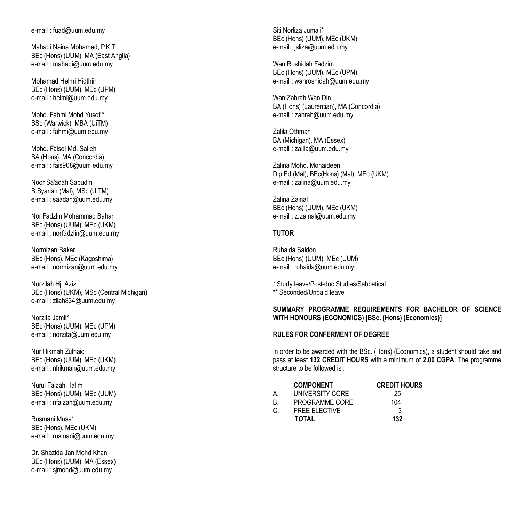e-mail : [fuad@uum.edu.my](mailto:fuad@uum.edu.my)

Mahadi Naina Mohamed, P.K.T. BEc (Hons) (UUM), MA (East Anglia) e-mail : [mahadi@uum.edu.my](mailto:mahadi@uum.edu.my)

Mohamad Helmi Hidthiir BEc (Hons) (UUM), MEc (UPM) e-mail : [helmi@uum.edu.my](mailto:helmi@uum.edu.my)

Mohd. Fahmi Mohd Yusof \* BSc (Warwick), MBA (UiTM) e-mail : [fahmi@uum.edu.my](mailto:fahmi@uum.edu.my)

Mohd. Faisol Md. Salleh BA (Hons), MA (Concordia) e-mail : [fais908@uum.edu.my](mailto:fais908@uum.edu.my)

Noor Sa'adah Sabudin B.Syariah (Mal), MSc (UiTM) e-mail : [saadah@uum.edu.my](mailto:saadah@uum.edu.my)

Nor Fadzlin Mohammad Bahar BEc (Hons) (UUM), MEc (UKM) e-mail : [norfadzlin@uum.edu.my](mailto:norfadzlin@uum.edu.my)

Normizan Bakar BEc (Hons), MEc (Kagoshima) e-mail : [normizan@uum.edu.my](mailto:normizan@uum.edu.my)

Norzilah Hj. Aziz BEc (Hons) (UKM), MSc (Central Michigan) e-mail : [zilah834@uum.edu.my](mailto:zilah834@uum.edu.my)

Norzita Jamil\* BEc (Hons) (UUM), MEc (UPM) e-mail : [norzita@uum.edu.my](mailto:norzita@uum.edu.my)

Nur Hikmah Zulhaid BEc (Hons) (UUM), MEc (UKM) e-mail : [nhikmah@uum.edu.my](mailto:nhikmah@uum.edu.my)

Nurul Faizah Halim BEc (Hons) (UUM), MEc (UUM) e-mail : [nfaizah@uum.edu.my](mailto:nfaizah@uum.edu.my)

Rusmani Musa\* BEc (Hons), MEc (UKM) e-mail : [rusmani@uum.edu.my](mailto:rusmani@uum.edu.my)

Dr. Shazida Jan Mohd Khan BEc (Hons) (UUM), MA (Essex) e-mail : [sjmohd@uum.edu.my](mailto:sjmohd@uum.edu.my)

Siti Norliza Jumali\* BEc (Hons) (UUM), MEc (UKM) e-mail : [jsliza@uum.edu.my](mailto:jsliza@uum.edu.my)

Wan Roshidah Fadzim BEc (Hons) (UUM), MEc (UPM) e-mail : [wanroshidah@uum.edu.my](mailto:wanroshidah@uum.edu.my)

Wan Zahrah Wan Din BA (Hons) (Laurentian), MA (Concordia) e-mail : [zahrah@uum.edu.my](mailto:zahrah@uum.edu.my)

Zalila Othman BA (Michigan), MA (Essex) e-mail : [zalila@uum.edu.my](mailto:zalila@uum.edu.my)

Zalina Mohd. Mohaideen Dip.Ed (Mal), BEc(Hons) (Mal), MEc (UKM) e-mail : [zalina@uum.edu.my](mailto:zalina@uum.edu.my)

Zalina Zainal BEc (Hons) (UUM), MEc (UKM) e-mail : [z.zainal@uum.edu.my](mailto:z.zainal@uum.edu.my)

## **TUTOR**

Ruhaida Saidon BEc (Hons) (UUM), MEc (UUM) e-mail : ruhaida@uum.edu.my

\* Study leave/Post-doc Studies/Sabbatical

\*\* Seconded/Unpaid leave

## **SUMMARY PROGRAMME REQUIREMENTS FOR BACHELOR OF SCIENCE WITH HONOURS (ECONOMICS) [BSc. (Hons) (Economics)]**

#### **RULES FOR CONFERMENT OF DEGREE**

In order to be awarded with the BSc. (Hons) (Economics), a student should take and pass at least **132 CREDIT HOURS** with a minimum of **2.00 CGPA**. The programme structure to be followed is :

|    | <b>COMPONENT</b>     | <b>CREDIT HOURS</b> |
|----|----------------------|---------------------|
| A. | UNIVERSITY CORE      | 25                  |
| B  | PROGRAMME CORE       | 104                 |
| C. | <b>FREE ELECTIVE</b> | 3                   |
|    | <b>TOTAL</b>         | 132                 |
|    |                      |                     |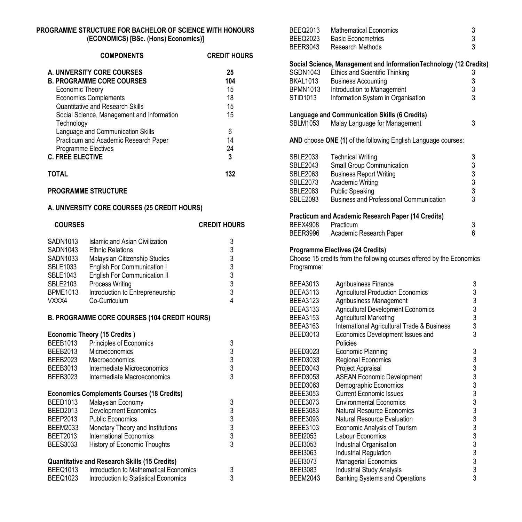## **PROGRAMME STRUCTURE FOR BACHELOR OF SCIENCE WITH HONOURS (ECONOMICS) [BSc. (Hons) Economics)]**

| <b>COMPONENTS</b>                                        | <b>CREDIT HOURS</b> |
|----------------------------------------------------------|---------------------|
| A. UNIVERSITY CORE COURSES                               | 25                  |
| <b>B. PROGRAMME CORE COURSES</b>                         | 104                 |
| Economic Theory                                          | 15                  |
| <b>Economics Complements</b>                             | 18                  |
| Quantitative and Research Skills                         | 15                  |
| Social Science, Management and Information<br>Technology | 15                  |
| Language and Communication Skills                        | 6                   |
| Practicum and Academic Research Paper                    | 14                  |
| Programme Electives                                      | 24                  |
| <b>C. FREE ELECTIVE</b>                                  | 3                   |
| ΤΩΤΑΙ                                                    | 132                 |

## **PROGRAMME STRUCTURE**

#### **A. UNIVERSITY CORE COURSES (25 CREDIT HOURS)**

| <b>COURSES</b>  |                                     | <b>CREDIT HOURS</b> |
|-----------------|-------------------------------------|---------------------|
| SADN1013        | Islamic and Asian Civilization      | 3                   |
| SADN1043        | <b>Ethnic Relations</b>             | 3                   |
| SADN1033        | Malaysian Citizenship Studies       | 3                   |
| SBLE1033        | English For Communication I         | 3                   |
| SBLE1043        | <b>English For Communication II</b> | 3                   |
| SBLE2103        | Process Writing                     | 3                   |
| <b>BPME1013</b> | Introduction to Entrepreneurship    | 3                   |
| VXXX4           | Co-Curriculum                       |                     |

## **B. PROGRAMME CORE COURSES (104 CREDIT HOURS)**

| <b>BEEB1013</b> | <b>Economic Theory (15 Credits)</b><br>Principles of Economics | 3 |
|-----------------|----------------------------------------------------------------|---|
|                 |                                                                |   |
| BEEB2013        | Microeconomics                                                 | 3 |
| BEEB2023        | Macroeconomics                                                 | 3 |
| BEEB3013        | Intermediate Microeconomics                                    | 3 |
| BEEB3023        | Intermediate Macroeconomics                                    | 3 |
|                 | <b>Economics Complements Courses (18 Credits)</b>              |   |
| <b>BEED1013</b> | Malaysian Economy                                              | 3 |
| <b>BEED2013</b> | <b>Development Economics</b>                                   | 3 |
| BEEP2013        | <b>Public Economics</b>                                        | 3 |
| <b>BEEM2033</b> | Monetary Theory and Institutions                               | 3 |
| BEET2013        | International Economics                                        | 3 |
| <b>BEES3033</b> | History of Economic Thoughts                                   | 3 |
|                 | <b>Quantitative and Research Skills (15 Credits)</b>           |   |
| <b>BEEQ1013</b> | Introduction to Mathematical Economics                         | 3 |
| <b>BEEQ1023</b> | Introduction to Statistical Economics                          | 3 |

| BEEQ2013                           | <b>Mathematical Economics</b>                                         | 3                                               |
|------------------------------------|-----------------------------------------------------------------------|-------------------------------------------------|
| <b>BEEQ2023</b><br><b>BEER3043</b> | <b>Basic Econometrics</b><br>Research Methods                         | 3<br>3                                          |
|                                    |                                                                       |                                                 |
|                                    | Social Science, Management and Information Technology (12 Credits)    |                                                 |
| SGDN1043                           | Ethics and Scientific Thinking                                        | 3                                               |
| BKAL1013                           | <b>Business Accounting</b>                                            | 3                                               |
| <b>BPMN1013</b>                    | Introduction to Management                                            | 3                                               |
| STID1013                           | Information System in Organisation                                    | 3                                               |
|                                    | Language and Communication Skills (6 Credits)                         |                                                 |
| <b>SBLM1053</b>                    | Malay Language for Management                                         | 3                                               |
|                                    | AND choose ONE (1) of the following English Language courses:         |                                                 |
| SBLE2033                           | <b>Technical Writing</b>                                              | 3                                               |
| <b>SBLE2043</b>                    | Small Group Communication                                             |                                                 |
| <b>SBLE2063</b>                    |                                                                       |                                                 |
|                                    | <b>Business Report Writing</b>                                        | $\begin{array}{c} 3 \\ 3 \\ 3 \\ 3 \end{array}$ |
| <b>SBLE2073</b>                    | Academic Writing                                                      |                                                 |
| <b>SBLE2083</b>                    | <b>Public Speaking</b>                                                |                                                 |
| <b>SBLE2093</b>                    | <b>Business and Professional Communication</b>                        |                                                 |
|                                    | Practicum and Academic Research Paper (14 Credits)                    |                                                 |
| <b>BEEX4908</b>                    | Practicum                                                             | 3                                               |
| BEER3996                           | Academic Research Paper                                               | 6                                               |
|                                    | <b>Programme Electives (24 Credits)</b>                               |                                                 |
|                                    | Choose 15 credits from the following courses offered by the Economics |                                                 |
| Programme:                         |                                                                       |                                                 |
|                                    |                                                                       |                                                 |
| <b>BEEA3013</b>                    | Agribusiness Finance                                                  | 3                                               |
| <b>BEEA3113</b>                    | <b>Agricultural Production Economics</b>                              | 3                                               |
| <b>BEEA3123</b>                    | Agribusiness Management                                               |                                                 |
| <b>BEEA3133</b>                    | <b>Agricultural Development Economics</b>                             | $\begin{array}{c} 3 \\ 3 \\ 3 \end{array}$      |
| <b>BEEA3153</b>                    | Agricultural Marketing                                                |                                                 |
| <b>BEEA3163</b>                    | International Agricultural Trade & Business                           |                                                 |
| <b>BEED3013</b>                    | Economics Development Issues and                                      | 3                                               |
|                                    | Policies                                                              |                                                 |
| <b>BEED3023</b>                    | Economic Planning                                                     | 3                                               |
| BEED3033                           | Regional Economics                                                    |                                                 |
| <b>BEED3043</b>                    | Project Appraisal                                                     |                                                 |
| <b>BEED3053</b>                    | <b>ASEAN Economic Development</b>                                     |                                                 |
| <b>BEED3063</b>                    | Demographic Economics                                                 |                                                 |
| <b>BEEE3053</b>                    | <b>Current Economic Issues</b>                                        |                                                 |
| <b>BEEE3073</b>                    | <b>Environmental Economics</b>                                        |                                                 |
| BEEE3083                           | <b>Natural Resource Economics</b>                                     |                                                 |
| BEEE3093                           | Natural Resource Evaluation                                           |                                                 |
| BEEE3103                           | Economic Analysis of Tourism                                          |                                                 |
| <b>BEEI2053</b>                    | Labour Economics                                                      |                                                 |
|                                    |                                                                       |                                                 |
| <b>BEEI3053</b>                    | Industrial Organisation                                               |                                                 |
| <b>BEEI3063</b>                    | Industrial Regulation                                                 |                                                 |
| <b>BEEI3073</b>                    | <b>Managerial Economics</b>                                           |                                                 |
| <b>BEEI3083</b>                    | <b>Industrial Study Analysis</b>                                      |                                                 |
| <b>BEEM2043</b>                    | <b>Banking Systems and Operations</b>                                 | 3                                               |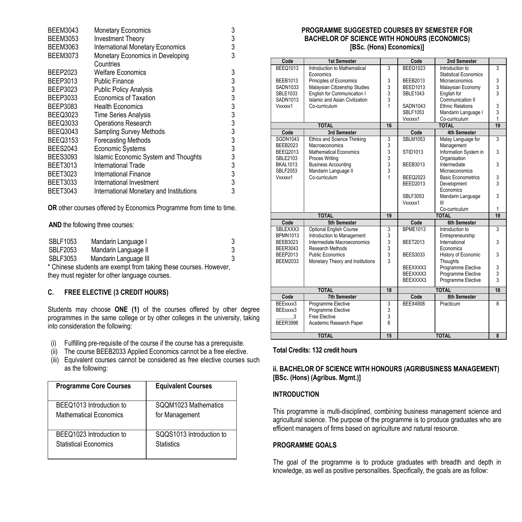| <b>BEEM3043</b> | <b>Monetary Economics</b>               | 3             |
|-----------------|-----------------------------------------|---------------|
| <b>BEEM3053</b> | <b>Investment Theory</b>                | 3             |
| <b>BEEM3063</b> | <b>International Monetary Economics</b> | 3             |
| <b>BEEM3073</b> | Monetary Economics in Developing        | 3             |
|                 | Countries                               |               |
| BEEP2023        | Welfare Economics                       | 3             |
| BEEP3013        | Public Finance                          |               |
| BEEP3023        | <b>Public Policy Analysis</b>           | $\frac{3}{3}$ |
| BEEP3033        | <b>Economics of Taxation</b>            | 3             |
| BEEP3083        | <b>Health Economics</b>                 | 3             |
| <b>BEEQ3023</b> | <b>Time Series Analysis</b>             | 3             |
| <b>BEEQ3033</b> | <b>Operations Research</b>              | 3<br>3<br>3   |
| <b>BEEQ3043</b> | <b>Sampling Survey Methods</b>          |               |
| <b>BEEQ3153</b> | <b>Forecasting Methods</b>              |               |
| <b>BEES2043</b> | <b>Economic Systems</b>                 | 3             |
| <b>BEES3093</b> | Islamic Economic System and Thoughts    | 3             |
| <b>BEET3013</b> | International Trade                     | 3             |
| <b>BEET3023</b> | International Finance                   | 3             |
| <b>BEET3033</b> | International Investment                | 3             |
| <b>BEET3043</b> | International Monetary and Institutions | 3             |

**OR** other courses offered by Economics Programme from time to time.

**AND** the following three courses:

| <b>SBLF1053</b> | Mandarin Language I   |  |
|-----------------|-----------------------|--|
| <b>SBLF2053</b> | Mandarin Language II  |  |
| SBLF3053        | Mandarin Language III |  |

\* Chinese students are exempt from taking these courses. However, they must register for other language courses.

## **C. FREE ELECTIVE (3 CREDIT HOURS)**

Students may choose **ONE (1)** of the courses offered by other degree programmes in the same college or by other colleges in the university, taking into consideration the following:

- (i) Fulfilling pre-requisite of the course if the course has a prerequisite.
- (ii) The course BEEB2033 Applied Economics cannot be a free elective.
- (iii) Equivalent courses cannot be considered as free elective courses such as the following:

| <b>Programme Core Courses</b> | <b>Equivalent Courses</b> |
|-------------------------------|---------------------------|
| BEEQ1013 Introduction to      | SQQM1023 Mathematics      |
| Mathematical Fconomics        | for Management            |
| BEEQ1023 Introduction to      | SQQS1013 Introduction to  |
| Statistical Economics         | <b>Statistics</b>         |

#### **PROGRAMME SUGGESTED COURSES BY SEMESTER FOR BACHELOR OF SCIENCE WITH HONOURS (ECONOMICS) [BSc. (Hons) Economics)]**

| Code             | <b>1st Semester</b>                                          |                | Code            | 2nd Semester                                |        |
|------------------|--------------------------------------------------------------|----------------|-----------------|---------------------------------------------|--------|
| <b>BEEQ1013</b>  | Introduction to Mathematical                                 | 3              | <b>BEEQ1023</b> | Introduction to                             | 3      |
|                  | Economics                                                    |                |                 | <b>Statistical Economics</b>                |        |
| <b>BEEB1013</b>  | Principles of Economics                                      | 3              | <b>BEEB2013</b> | <b>Microeconomics</b>                       | 3      |
| <b>SADN1033</b>  | Malaysian Citizenship Studies                                | 3              | <b>BEED1013</b> | Malaysian Economy                           | 3      |
| <b>SBLE1033</b>  | English for Communication I                                  | $\frac{3}{3}$  | <b>SBLE1043</b> | English for                                 | 3      |
| SADN1013         | Islamic and Asian Civilization<br>Co-curriculum              | 1              | SADN1043        | Communication II<br><b>Ethnic Relations</b> |        |
| Vxxxxx1          |                                                              |                | <b>SBLF1053</b> |                                             | 3<br>3 |
|                  |                                                              |                | Vxxxxx1         | Mandarin Language I<br>Co-curriculum        | 1      |
|                  | <b>TOTAL</b>                                                 | 16             |                 | <b>TOTAL</b>                                | 19     |
| Code             | 3rd Semester                                                 |                | Code            | <b>4th Semester</b>                         |        |
| <b>SGDN1043</b>  | <b>Ethics and Science Thinking</b>                           | 3              | <b>SBLM1053</b> | Malay Language for                          | 3      |
| <b>BEEB2023</b>  | <b>Macroeconomics</b>                                        | 3              |                 | Management                                  |        |
| <b>BEEQ2013</b>  | <b>Mathematical Economics</b>                                | 3              | <b>STID1013</b> | Information System in                       | 3      |
| <b>SBLE2103</b>  | Proces Writing                                               | 3              |                 | Organisation                                |        |
| <b>BKAL1013</b>  | <b>Business Accounting</b>                                   |                | BEEB3013        | Intermediate                                | 3      |
| <b>SBLF2053</b>  | Mandarin Language II                                         | $\frac{3}{3}$  |                 | Microeconomics                              |        |
| Vxxxxx1          | Co-curriculum                                                | 1              | <b>BEEQ2023</b> | <b>Basic Econometrics</b>                   | 3      |
|                  |                                                              |                | <b>BEED2013</b> | Development                                 | 3      |
|                  |                                                              |                |                 | Economics                                   |        |
|                  |                                                              |                | <b>SBLF3053</b> | Mandarin Language                           | 3      |
|                  |                                                              |                | Vxxxxx1         | Ш                                           |        |
|                  |                                                              |                |                 | Co-curriculum                               | 1      |
|                  | <b>TOTAL</b><br>5th Semester                                 | 19             | Code            | <b>TOTAL</b><br><b>6th Semester</b>         | 19     |
| Code<br>SBLEXXX3 |                                                              | 3              | <b>BPME1013</b> | Introduction to                             | 3      |
| <b>BPMN1013</b>  | <b>Optional English Course</b><br>Introduction to Management | 3              |                 | Entrepreneurship                            |        |
| <b>BEEB3023</b>  | Intermediate Macroeconomics                                  | 3              | <b>BEET2013</b> | International                               | 3      |
| <b>BEER3043</b>  | Research Methods                                             | 3              |                 | Economics                                   |        |
| BEEP2013         | Public Economics                                             | 3              | <b>BEES3033</b> | History of Economic                         | 3      |
| <b>BEEM2033</b>  | Monetary Theory and Institutions                             | $\overline{3}$ |                 | Thoughts                                    |        |
|                  |                                                              |                | BEEXXXX3        | Programme Elective                          | 3      |
|                  |                                                              |                | BEEXXXX3        | Programme Elective                          | 3      |
|                  |                                                              |                | BEEXXXX3        | Programme Elective                          | 3      |
|                  |                                                              | 18             |                 | <b>TOTAL</b>                                | 18     |
|                  |                                                              |                |                 |                                             |        |
| Code             | <b>TOTAL</b><br><b>7th Semester</b>                          |                | Code            | 8th Semester                                |        |
| BEExxxx3         |                                                              |                | <b>BEEX4908</b> | Practicum                                   | 8      |
| BEExxxx3         | Programme Elective<br>Programme Elective                     | 3<br>3         |                 |                                             |        |
| 3                | Free Elective                                                | 3              |                 |                                             |        |
| <b>BEER3996</b>  | Academic Research Paper                                      | ĥ              |                 |                                             |        |
|                  | <b>TOTAL</b>                                                 | 15             |                 | <b>TOTAL</b>                                | 8      |

## **Total Credits: 132 credit hours**

## **ii. BACHELOR OF SCIENCE WITH HONOURS (AGRIBUSINESS MANAGEMENT) [BSc. (Hons) (Agribus. Mgmt.)]**

## **INTRODUCTION**

This programme is multi-disciplined, combining business management science and agricultural science. The purpose of the programme is to produce graduates who are efficient managers of firms based on agriculture and natural resource.

## **PROGRAMME GOALS**

The goal of the programme is to produce graduates with breadth and depth in knowledge, as well as positive personalities. Specifically, the goals are as follow: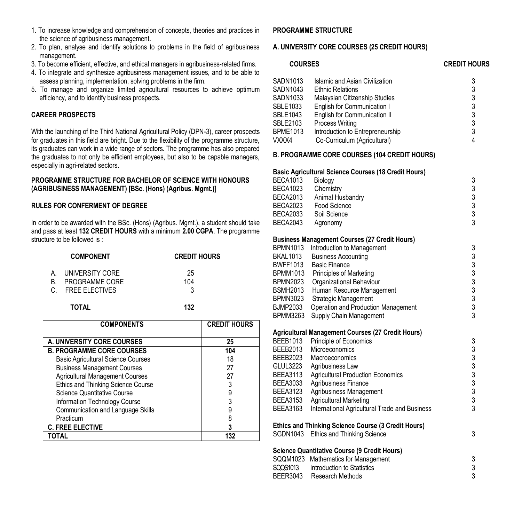- 1. To increase knowledge and comprehension of concepts, theories and practices in the science of agribusiness management.
- 2. To plan, analyse and identify solutions to problems in the field of agribusiness management.
- 3. To become efficient, effective, and ethical managers in agribusiness-related firms.
- 4. To integrate and synthesize agribusiness management issues, and to be able to assess planning, implementation, solving problems in the firm.
- 5. To manage and organize limited agricultural resources to achieve optimum efficiency, and to identify business prospects.

## **CAREER PROSPECTS**

With the launching of the Third National Agricultural Policy (DPN-3), career prospects for graduates in this field are bright. Due to the flexibility of the programme structure, its graduates can work in a wide range of sectors. The programme has also prepared the graduates to not only be efficient employees, but also to be capable managers, especially in agri-related sectors.

#### **PROGRAMME STRUCTURE FOR BACHELOR OF SCIENCE WITH HONOURS (AGRIBUSINESS MANAGEMENT) [BSc. (Hons) (Agribus. Mgmt.)]**

## **RULES FOR CONFERMENT OF DEGREE**

In order to be awarded with the BSc. (Hons) (Agribus. Mgmt.), a student should take and pass at least **132 CREDIT HOURS** with a minimum **2.00 CGPA**. The programme structure to be followed is :

|    | <b>COMPONENT</b>                                       | <b>CREDIT HOURS</b> |
|----|--------------------------------------------------------|---------------------|
| B. | UNIVERSITY CORE<br>PROGRAMME CORE<br>C. FREE ELECTIVES | 25<br>104<br>3      |

 **TOTAL 132**

| <b>COMPONENTS</b>                         | <b>CREDIT HOURS</b> |
|-------------------------------------------|---------------------|
| A. UNIVERSITY CORE COURSES                | 25                  |
| <b>B. PROGRAMME CORE COURSES</b>          | 104                 |
| <b>Basic Agricultural Science Courses</b> | 18                  |
| <b>Business Management Courses</b>        | 27                  |
| <b>Agricultural Management Courses</b>    | 27                  |
| Ethics and Thinking Science Course        |                     |
| Science Quantitative Course               | 9                   |
| Information Technology Course             | 3                   |
| Communication and Language Skills         |                     |
| Practicum                                 | 8                   |
| <b>C. FREE ELECTIVE</b>                   | 3                   |
|                                           | 132                 |

#### **PROGRAMME STRUCTURE**

#### **A. UNIVERSITY CORE COURSES (25 CREDIT HOURS)**

| <b>COURSES</b>  |                                                             | <b>CREDIT HOURS</b>                        |
|-----------------|-------------------------------------------------------------|--------------------------------------------|
| SADN1013        | Islamic and Asian Civilization                              | 3                                          |
| SADN1043        | <b>Ethnic Relations</b>                                     |                                            |
| SADN1033        | Malaysian Citizenship Studies                               |                                            |
| SBLE1033        | English for Communication I                                 |                                            |
| SBLE1043        | English for Communication II                                |                                            |
| <b>SBLE2103</b> | Process Writing                                             | 3333333                                    |
| <b>BPME1013</b> | Introduction to Entrepreneurship                            |                                            |
| VXXX4           | Co-Curriculum (Agricultural)                                | $\overline{4}$                             |
|                 | B. PROGRAMME CORE COURSES (104 CREDIT HOURS)                |                                            |
|                 | <b>Basic Agricultural Science Courses (18 Credit Hours)</b> |                                            |
| <b>BECA1013</b> | Biology                                                     | 3                                          |
| <b>BECA1023</b> | Chemistry                                                   | 3                                          |
| <b>BECA2013</b> | Animal Husbandry                                            |                                            |
| <b>BECA2023</b> | Food Science                                                | 3<br>3<br>3                                |
| <b>BECA2033</b> | Soil Science                                                |                                            |
| <b>BECA2043</b> | Agronomy                                                    | 3                                          |
|                 | <b>Business Management Courses (27 Credit Hours)</b>        |                                            |
| BPMN1013        | Introduction to Management                                  | 3                                          |
| <b>BKAL1013</b> | <b>Business Accounting</b>                                  | 3                                          |
| <b>BWFF1013</b> | <b>Basic Finance</b>                                        | $\frac{3}{3}$                              |
| BPMM1013        | Principles of Marketing                                     |                                            |
| <b>BPMN2023</b> | Organizational Behaviour                                    | $\begin{array}{c} 3 \\ 3 \\ 3 \end{array}$ |
| <b>BSMH2013</b> | Human Resource Management                                   |                                            |
| <b>BPMN3023</b> | <b>Strategic Management</b>                                 |                                            |
| BJMP2033        | Operation and Production Management                         | $\overline{3}$                             |
| <b>BPMM3263</b> | Supply Chain Management                                     |                                            |
|                 | Agricultural Management Courses (27 Credit Hours)           |                                            |
| <b>BEEB1013</b> | Principle of Economics                                      | 3                                          |
| <b>BEEB2013</b> | <b>Microeconomics</b>                                       | 3<br>3<br>3<br>3                           |
| BEEB2023        | Macroeconomics                                              |                                            |
| GLUL3223        | Agribusiness Law                                            |                                            |
| <b>BEEA3113</b> | <b>Agricultural Production Economics</b>                    |                                            |
| BEEA3033        | Agribusiness Finance                                        | 3<br>3                                     |
| <b>BEEA3123</b> | Agribusiness Management                                     |                                            |
| <b>BEEA3153</b> | <b>Agricultural Marketing</b>                               | $\overline{3}$<br>3                        |
| <b>BEEA3163</b> | International Agricultural Trade and Business               |                                            |
|                 | Ethics and Thinking Science Course (3 Credit Hours)         |                                            |
|                 | SGDN1043 Ethics and Thinking Science                        | 3                                          |
|                 | <b>Science Quantitative Course (9 Credit Hours)</b>         |                                            |
| SQQM1023        | Mathematics for Management                                  | 3                                          |
| SQQS1013        | Introduction to Statistics                                  | 3                                          |
| <b>BEER3043</b> | <b>Research Methods</b>                                     | 3                                          |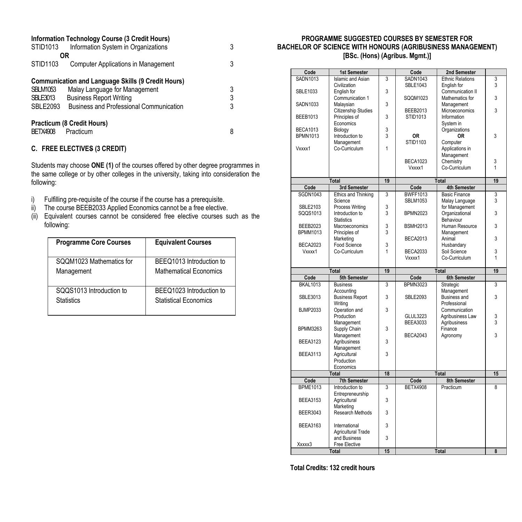| STID1013                                              | Information Technology Course (3 Credit Hours)<br>Information System in Organizations                                                                                          | 3           |
|-------------------------------------------------------|--------------------------------------------------------------------------------------------------------------------------------------------------------------------------------|-------------|
|                                                       | OR                                                                                                                                                                             |             |
| STID1103                                              | Computer Applications in Management                                                                                                                                            | 3           |
| <b>SBLM1053</b><br><b>SBLE3013</b><br><b>SBLE2093</b> | <b>Communication and Language Skills (9 Credit Hours)</b><br>Malay Language for Management<br><b>Business Report Writing</b><br><b>Business and Professional Communication</b> | 3<br>3<br>3 |
| <b>BETX4908</b>                                       | Practicum (8 Credit Hours)<br>Practicum                                                                                                                                        | 8           |

## **C. FREE ELECTIVES (3 CREDIT)**

Students may choose **ONE (1)** of the courses offered by other degree programmes in the same college or by other colleges in the university, taking into consideration the following:

- i) Fulfilling pre-requisite of the course if the course has a prerequisite.
- ii) The course BEEB2033 Applied Economics cannot be a free elective.
- (ii) Equivalent courses cannot be considered free elective courses such as the following:

| <b>Programme Core Courses</b> | <b>Equivalent Courses</b> |
|-------------------------------|---------------------------|
| SQQM1023 Mathematics for      | BEEQ1013 Introduction to  |
| Management                    | Mathematical Fconomics    |
| SQQS1013 Introduction to      | BEEQ1023 Introduction to  |
| <b>Statistics</b>             | Statistical Economics     |

#### **PROGRAMME SUGGESTED COURSES BY SEMESTER FOR BACHELOR OF SCIENCE WITH HONOURS (AGRIBUSINESS MANAGEMENT) [BSc. (Hons) (Agribus. Mgmt.)]**

| Code            | 1st Semester             |                         | Code            | 2nd Semester            |    |
|-----------------|--------------------------|-------------------------|-----------------|-------------------------|----|
| <b>SADN1013</b> | <b>Islamic and Asian</b> | 3                       | SADN1043        | <b>Ethnic Relations</b> | 3  |
|                 | Civilization             |                         | SBLE1043        | English for             | 3  |
| <b>SBLE1033</b> | English for              | 3                       |                 | Communication II        |    |
|                 | Communication 1          |                         | SOOM1023        | Mathematics for         | 3  |
| SADN1033        |                          | 3                       |                 |                         |    |
|                 | Malaysian                |                         |                 | Management              |    |
|                 | Citizenship Studies      |                         | <b>BEEB2013</b> | Microeconomics          | 3  |
| <b>BEEB1013</b> | Principles of            | 3                       | STID1013        | Information             |    |
|                 | Economics                |                         |                 | System in               |    |
| <b>BECA1013</b> | Biology                  | 3                       |                 | Organizations           |    |
| <b>BPMN1013</b> | Introduction to          | 3                       | 0R              | 0R                      | 3  |
|                 |                          |                         | <b>STID1103</b> |                         |    |
|                 | Management               |                         |                 | Computer                |    |
| Vxxxx1          | Co-Curriculum            | 1                       |                 | Applications in         |    |
|                 |                          |                         |                 | Management              |    |
|                 |                          |                         | <b>BECA1023</b> | Chemistry               | 3  |
|                 |                          |                         | Vxxxx1          | Co-Curriculum           | 1  |
|                 |                          |                         |                 |                         |    |
|                 |                          | 19                      |                 |                         | 19 |
|                 | <b>Total</b>             |                         |                 | <b>Total</b>            |    |
| Code            | 3rd Semester             |                         | Code            | 4th Semester            |    |
| <b>SGDN1043</b> | Ethics and Thinking      | 3                       | <b>BWFF1013</b> | <b>Basic Finance</b>    | 3  |
|                 | Science                  |                         | <b>SBLM1053</b> | Malay Language          | 3  |
| <b>SBLE2103</b> | Process Writing          | 3                       |                 | for Management          |    |
| SQQS1013        | Introduction to          | $\overline{\mathbf{3}}$ | <b>BPMN2023</b> | Organizational          | 3  |
|                 |                          |                         |                 |                         |    |
|                 | <b>Statistics</b>        |                         |                 | Behaviour               |    |
| <b>BEEB2023</b> | <b>Macroeconomics</b>    | 3                       | <b>BSMH2013</b> | Human Resource          | 3  |
| <b>BPMM1013</b> | Principles of            | 3                       |                 | Management              |    |
|                 | Marketing                |                         | <b>BECA2013</b> | Animal                  | 3  |
| <b>BECA2023</b> | Food Science             | 3                       |                 | Husbandary              |    |
|                 |                          |                         |                 |                         |    |
| Vxxxx1          | Co-Curriculum            | 1                       | <b>BECA2033</b> | Soil Science            | 3  |
|                 |                          |                         | Vxxxx1          | Co-Curriculum           | 1  |
|                 |                          |                         |                 |                         |    |
|                 |                          |                         |                 |                         |    |
|                 | <b>Total</b>             | 19                      |                 | Total                   | 19 |
| Code            | 5th Semester             |                         | Code            | 6th Semester            |    |
|                 |                          | 3                       |                 |                         | 3  |
| <b>BKAL1013</b> | <b>Business</b>          |                         | <b>BPMN3023</b> | Strategic               |    |
|                 | Accounting               |                         |                 | Management              |    |
| <b>SBLE3013</b> | <b>Business Report</b>   | 3                       | <b>SBLE2093</b> | <b>Business and</b>     | 3  |
|                 | Writing                  |                         |                 | Professional            |    |
| <b>BJMP2033</b> | Operation and            | 3                       |                 | Communication           |    |
|                 | Production               |                         | <b>GLUL3223</b> | Agribusiness Law        | 3  |
|                 |                          |                         | <b>BEEA3033</b> | Agribusiness            | 3  |
|                 | Management               |                         |                 |                         |    |
| <b>BPMM3263</b> | Supply Chain             | 3                       |                 | Finance                 |    |
|                 | Management               |                         | <b>BECA2043</b> | Agronomy                | 3  |
| <b>BEEA3123</b> | Agribusiness             | 3                       |                 |                         |    |
|                 | Management               |                         |                 |                         |    |
| <b>BEEA3113</b> | Agricultural             | 3                       |                 |                         |    |
|                 | Production               |                         |                 |                         |    |
|                 | Economics                |                         |                 |                         |    |
|                 |                          |                         |                 |                         |    |
|                 | Total                    | 18                      |                 | <b>Total</b>            | 15 |
| Code            | 7th Semester             |                         | Code            | 8th Semester            |    |
| <b>BPME1013</b> | Introduction to          | 3                       | <b>BETX4908</b> | Practicum               | 8  |
|                 | Entrepreneurship         |                         |                 |                         |    |
| <b>BEEA3153</b> | Agricultural             | 3                       |                 |                         |    |
|                 | Marketing                |                         |                 |                         |    |
|                 |                          |                         |                 |                         |    |
| <b>BEER3043</b> | Research Methods         | 3                       |                 |                         |    |
|                 |                          |                         |                 |                         |    |
| <b>BEEA3163</b> | International            | 3                       |                 |                         |    |
|                 | Agricultural Trade       |                         |                 |                         |    |
|                 | and Business             | 3                       |                 |                         |    |
| Xxxxx3          | Free Elective            |                         |                 |                         |    |
|                 | Total                    | 15                      |                 | Total                   | 8  |

 **Total Credits: 132 credit hours**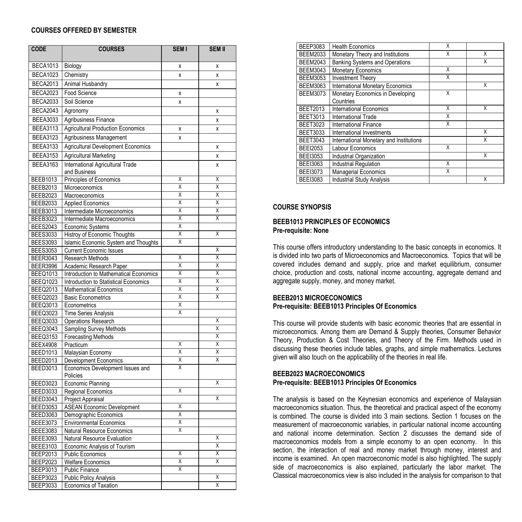#### **COURSES OFFERED BY SEMESTER**

| <b>CODE</b>                        | <b>COURSES</b>                                             | <b>SEM I</b>            | <b>SEM II</b>           |
|------------------------------------|------------------------------------------------------------|-------------------------|-------------------------|
| <b>BECA1013</b>                    | Biology                                                    | Χ                       | X                       |
| <b>BECA1023</b>                    | Chemistry                                                  | X                       | X                       |
| <b>BECA2013</b>                    | Animal Husbandry                                           |                         | X                       |
| <b>BECA2023</b>                    | Food Science                                               | X                       |                         |
| <b>BECA2033</b>                    | Soil Science                                               | x                       |                         |
| <b>BECA2043</b>                    | Agronomy                                                   |                         | $\mathsf{x}$            |
|                                    |                                                            |                         |                         |
| <b>BEEA3033</b>                    | Agribusiness Finance                                       |                         | $\mathsf{x}$            |
| <b>BEEA3113</b>                    | <b>Agricultural Production Economics</b>                   | X                       | $\mathsf{x}$            |
| <b>BEEA3123</b>                    | Agribusiness Management                                    | X                       |                         |
| <b>BEEA3133</b>                    | <b>Agricultural Development Economics</b>                  |                         | X                       |
| <b>BEEA3153</b>                    | <b>Agricultural Marketing</b>                              |                         | X                       |
| <b>BEEA3163</b>                    | International Agricultural Trade                           |                         | x                       |
|                                    | and Business                                               |                         |                         |
| <b>BEEB1013</b>                    | Principles of Economics                                    | X                       | X                       |
| <b>BEEB2013</b>                    | Microeconomics                                             | Χ                       | $\overline{\mathsf{x}}$ |
| <b>BEEB2023</b>                    | Macroeconomics                                             | Χ                       | Χ                       |
| <b>BEEB2033</b>                    | <b>Applied Economics</b>                                   | Χ                       | Χ                       |
| <b>BEEB3013</b>                    | Intermediate Microeconomics                                | X                       | X                       |
| <b>BEEB3023</b>                    | Intermediate Macroeconomics                                | Χ                       | Χ                       |
| <b>BEES2043</b>                    | Economic Systems                                           | Χ                       |                         |
| <b>BEES3033</b>                    | Histroy of Economic Thoughts                               | Χ                       | $\overline{\mathsf{x}}$ |
| <b>BEES3093</b>                    | Islamic Economic System and Thoughts                       | Χ                       |                         |
| <b>BEES3053</b>                    | Current Economic Issues                                    | $\overline{\mathsf{x}}$ | Χ                       |
| <b>BEER3043</b>                    | Research Methods                                           |                         | χ                       |
| <b>BEER3996</b>                    | Academic Research Paper                                    | Χ<br>Χ                  | Χ<br>Χ                  |
| <b>BEEQ1013</b>                    | Introduction to Mathematical Economics                     | Χ                       | Χ                       |
| <b>BEEQ1023</b>                    | Introduction to Statistical Economics                      | Χ                       | Χ                       |
| <b>BEEQ2013</b><br><b>BEEQ2023</b> | <b>Mathematical Economics</b><br><b>Basic Econometrics</b> | Χ                       | Χ                       |
| <b>BEEQ3013</b>                    | Econometrics                                               | Χ                       |                         |
| <b>BEEQ3023</b>                    | <b>Time Series Analysis</b>                                | Χ                       |                         |
| <b>BEEQ3033</b>                    | Operations Research                                        |                         | Χ                       |
| <b>BEEQ3043</b>                    | Sampling Survey Methods                                    |                         | X                       |
| BEEQ3153                           | <b>Forecasting Methods</b>                                 |                         | Χ                       |
| <b>BEEX4908</b>                    | Practicum                                                  | Χ                       | χ                       |
| <b>BEED1013</b>                    | Malaysian Economy                                          | Χ                       | X                       |
| <b>BEED2013</b>                    | Development Economics                                      | Χ                       | X                       |
| <b>BEED3013</b>                    | Economics Development Issues and                           | Χ                       |                         |
|                                    | Policies                                                   |                         |                         |
| <b>BEED3023</b>                    | Economic Planning                                          |                         | X                       |
| <b>BEED3033</b>                    | Regional Economics                                         | Χ                       |                         |
| <b>BEED3043</b>                    | Project Appraisal                                          |                         | Χ                       |
| <b>BEED3053</b>                    | <b>ASEAN Economic Development</b>                          | Χ                       |                         |
| <b>BEED3063</b>                    | Demographic Economics                                      | X                       |                         |
| <b>BEEE3073</b>                    | <b>Environmental Economics</b>                             | X                       |                         |
| BEEE3083                           | Natural Resource Economics                                 | Χ                       |                         |
| <b>BEEE3093</b>                    | Natural Resource Evaluation                                |                         | Χ                       |
| <b>BEEE3103</b>                    | Economic Analysis of Tourism                               |                         | χ                       |
| BEEP2013                           | <b>Public Economics</b>                                    | X                       | X                       |
| <b>BEEP2023</b>                    | <b>Welfare Economics</b>                                   | Χ<br>Χ                  | Χ                       |
| BEEP3013                           | Public Finance                                             |                         | X                       |
| <b>BEEP3023</b><br><b>BEEP3033</b> | <b>Public Policy Analysis</b>                              |                         | Χ                       |
|                                    | Economics of Taxation                                      |                         |                         |

| <b>BEEP3083</b> | <b>Health Economics</b>                 | X |   |
|-----------------|-----------------------------------------|---|---|
| <b>BEEM2033</b> | Monetary Theory and Institutions        | X | X |
| <b>BEEM2043</b> | Banking Systems and Operations          |   | X |
| <b>BEEM3043</b> | <b>Monetary Economics</b>               | X |   |
| <b>BEEM3053</b> | <b>Investment Theory</b>                | X |   |
| <b>BEEM3063</b> | <b>International Monetary Economics</b> |   | X |
| <b>BEEM3073</b> | Monetary Economics in Developing        | X |   |
|                 | Countries                               |   |   |
| <b>BEET2013</b> | <b>International Economics</b>          | X | X |
| <b>BEET3013</b> | <b>International Trade</b>              | X |   |
| <b>BEET3023</b> | <b>International Finance</b>            | X |   |
| <b>BEET3033</b> | International Investments               |   | X |
| <b>BEET3043</b> | International Monetary and Institutions |   | X |
| <b>BEEI2053</b> | Labour Economics                        | X |   |
| <b>BEEI3053</b> | Industrial Organization                 |   | X |
| <b>BEEI3063</b> | Industrial Regulation                   | X |   |
| <b>BEEI3073</b> | <b>Managerial Economics</b>             | X |   |
| <b>BEEI3083</b> | <b>Industrial Study Analysis</b>        |   | X |

#### **COURSE SYNOPSIS**

#### **BEEB1013 PRINCIPLES OF ECONOMICS Pre-requisite: None**

This course offers introductory understanding to the basic concepts in economics. It is divided into two parts of Microeconomics and Macroeconomics. Topics that will be covered includes demand and supply, price and market equilibrium, consumer choice, production and costs, national income accounting, aggregate demand and aggregate supply, money, and money market.

#### **BEEB2013 MICROECONOMICS Pre-requisite: BEEB1013 Principles Of Economics**

This course will provide students with basic economic theories that are essential in microeconomics. Among them are Demand & Supply theories, Consumer Behavior Theory, Production & Cost Theories, and Theory of the Firm. Methods used in discussing these theories include tables, graphs, and simple mathematics. Lectures given will also touch on the applicability of the theories in real life.

#### **BEEB2023 MACROECONOMICS Pre-requisite: BEEB1013 Principles Of Economics**

The analysis is based on the Keynesian economics and experience of Malaysian macroeconomics situation. Thus, the theoretical and practical aspect of the economy is combined. The course is divided into 3 main sections. Section 1 focuses on the measurement of macroeconomic variables, in particular national income accounting and national income determination. Section 2 discusses the demand side of macroeconomics models from a simple economy to an open economy. In this section, the interaction of real and money market through money, interest and income is examined. An open macroeconomic model is also highlighted. The supply side of macroeconomics is also explained, particularly the labor market. The Classical macroeconomics view is also included in the analysis for comparison to that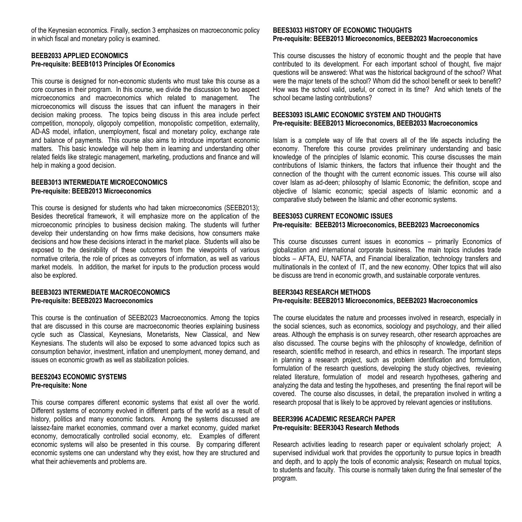of the Keynesian economics. Finally, section 3 emphasizes on macroeconomic policy in which fiscal and monetary policy is examined.

## **BEEB2033 APPLIED ECONOMICS Pre-requisite: BEEB1013 Principles Of Economics**

This course is designed for non-economic students who must take this course as a core courses in their program. In this course, we divide the discussion to two aspect microeconomics and macroeconomics which related to management. The microeconomics will discuss the issues that can influent the managers in their decision making process. The topics being discuss in this area include perfect competition, monopoly, oligopoly competition, monopolistic competition, externality, AD-AS model, inflation, unemployment, fiscal and monetary policy, exchange rate and balance of payments. This course also aims to introduce important economic matters. This basic knowledge will help them in learning and understanding other related fields like strategic management, marketing, productions and finance and will help in making a good decision.

#### **BEEB3013 INTERMEDIATE MICROECONOMICS Pre-requisite: BEEB2013 Microeconomics**

This course is designed for students who had taken microeconomics (SEEB2013); Besides theoretical framework, it will emphasize more on the application of the microeconomic principles to business decision making. The students will further develop their understanding on how firms make decisions, how consumers make decisions and how these decisions interact in the market place. Students will also be exposed to the desirability of these outcomes from the viewpoints of various normative criteria, the role of prices as conveyors of information, as well as various market models. In addition, the market for inputs to the production process would also be explored.

#### **BEEB3023 INTERMEDIATE MACROECONOMICS Pre-requisite: BEEB2023 Macroeconomics**

This course is the continuation of SEEB2023 Macroeconomics. Among the topics that are discussed in this course are macroeconomic theories explaining business cycle such as Classical, Keynesians, Monetarists, New Classical, and New Keynesians. The students will also be exposed to some advanced topics such as consumption behavior, investment, inflation and unemployment, money demand, and issues on economic growth as well as stabilization policies.

#### **BEES2043 ECONOMIC SYSTEMS Pre-requisite: None**

This course compares different economic systems that exist all over the world. Different systems of economy evolved in different parts of the world as a result of history, politics and many economic factors. Among the systems discussed are laissez-faire market economies, command over a market economy, guided market economy, democratically controlled social economy, etc. Examples of different economic systems will also be presented in this course. By comparing different economic systems one can understand why they exist, how they are structured and what their achievements and problems are.

#### **BEES3033 HISTORY OF ECONOMIC THOUGHTS Pre-requisite: BEEB2013 Microeconomics, BEEB2023 Macroeconomics**

This course discusses the history of economic thought and the people that have contributed to its development. For each important school of thought, five major questions will be answered: What was the historical background of the school? What were the major tenets of the school? Whom did the school benefit or seek to benefit? How was the school valid, useful, or correct in its time? And which tenets of the school became lasting contributions?

#### **BEES3093 ISLAMIC ECONOMIC SYSTEM AND THOUGHTS Pre-requisite: BEEB2013 Microeconomics, BEEB2033 Macroeconomics**

Islam is a complete way of life that covers all of the life aspects including the economy. Therefore this course provides preliminary understanding and basic knowledge of the principles of Islamic economic. This course discusses the main contributions of Islamic thinkers, the factors that influence their thought and the connection of the thought with the current economic issues. This course will also cover Islam as ad-deen; philosophy of Islamic Economic; the definition, scope and objective of Islamic economic; special aspects of Islamic economic and a comparative study between the Islamic and other economic systems.

#### **BEES3053 CURRENT ECONOMIC ISSUES Pre-requisite: BEEB2013 Microeconomics, BEEB2023 Macroeconomics**

This course discusses current issues in economics – primarily Economics of globalization and international corporate business. The main topics includes trade blocks – AFTA, EU, NAFTA, and Financial liberalization, technology transfers and multinationals in the context of IT, and the new economy. Other topics that will also be discuss are trend in economic growth, and sustainable corporate ventures.

#### **BEER3043 RESEARCH METHODS Pre-requisite: BEEB2013 Microeconomics, BEEB2023 Macroeconomics**

The course elucidates the nature and processes involved in research, especially in the social sciences, such as economics, sociology and psychology, and their allied areas. Although the emphasis is on survey research, other research approaches are also discussed. The course begins with the philosophy of knowledge, definition of research, scientific method in research, and ethics in research. The important steps in planning a research project, such as problem identification and formulation, formulation of the research questions, developing the study objectives, reviewing related literature, formulation of model and research hypotheses, gathering and analyzing the data and testing the hypotheses, and presenting the final report will be covered. The course also discusses, in detail, the preparation involved in writing a research proposal that is likely to be approved by relevant agencies or institutions.

#### **BEER3996 ACADEMIC RESEARCH PAPER Pre-requisite: BEER3043 Research Methods**

Research activities leading to research paper or equivalent scholarly project; A supervised individual work that provides the opportunity to pursue topics in breadth and depth, and to apply the tools of economic analysis; Research on mutual topics, to students and faculty. This course is normally taken during the final semester of the program.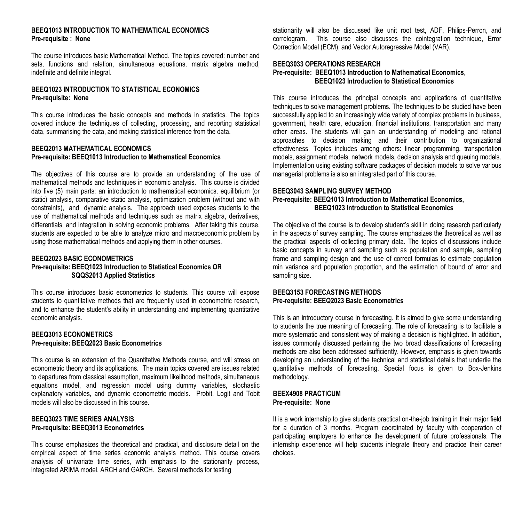## **BEEQ1013 INTRODUCTION TO MATHEMATICAL ECONOMICS Pre-requisite : None**

The course introduces basic Mathematical Method. The topics covered: number and sets, functions and relation, simultaneous equations, matrix algebra method, indefinite and definite integral.

## **BEEQ1023 INTRODUCTION TO STATISTICAL ECONOMICS Pre-requisite: None**

This course introduces the basic concepts and methods in statistics. The topics covered include the techniques of collecting, processing, and reporting statistical data, summarising the data, and making statistical inference from the data.

#### **BEEQ2013 MATHEMATICAL ECONOMICS Pre-requisite: BEEQ1013 Introduction to Mathematical Economics**

The objectives of this course are to provide an understanding of the use of mathematical methods and techniques in economic analysis. This course is divided into five (5) main parts: an introduction to mathematical economics, equilibrium (or static) analysis, comparative static analysis, optimization problem (without and with constraints), and dynamic analysis. The approach used exposes students to the use of mathematical methods and techniques such as matrix algebra, derivatives, differentials, and integration in solving economic problems. After taking this course, students are expected to be able to analyze micro and macroeconomic problem by using those mathematical methods and applying them in other courses.

## **BEEQ2023 BASIC ECONOMETRICS Pre-requisite: BEEQ1023 Introduction to Statistical Economics OR SQQS2013 Applied Statistics**

This course introduces basic econometrics to students. This course will expose students to quantitative methods that are frequently used in econometric research, and to enhance the student's ability in understanding and implementing quantitative economic analysis.

#### **BEEQ3013 ECONOMETRICS Pre-requisite: BEEQ2023 Basic Econometrics**

This course is an extension of the Quantitative Methods course, and will stress on econometric theory and its applications. The main topics covered are issues related to departures from classical assumption, maximum likelihood methods, simultaneous equations model, and regression model using dummy variables, stochastic explanatory variables, and dynamic econometric models. Probit, Logit and Tobit models will also be discussed in this course.

#### **BEEQ3023 TIME SERIES ANALYSIS Pre-requisite: BEEQ3013 Econometrics**

This course emphasizes the theoretical and practical, and disclosure detail on the empirical aspect of time series economic analysis method. This course covers analysis of univariate time series, with emphasis to the stationarity process, integrated ARIMA model, ARCH and GARCH. Several methods for testing

stationarity will also be discussed like unit root test, ADF, Philips-Perron, and correlogram. This course also discusses the cointegration technique, Error Correction Model (ECM), and Vector Autoregressive Model (VAR).

#### **BEEQ3033 OPERATIONS RESEARCH Pre-requisite: BEEQ1013 Introduction to Mathematical Economics, BEEQ1023 Introduction to Statistical Economics**

This course introduces the principal concepts and applications of quantitative techniques to solve management problems. The techniques to be studied have been successfully applied to an increasingly wide variety of complex problems in business. government, health care, education, financial institutions, transportation and many other areas. The students will gain an understanding of modeling and rational approaches to decision making and their contribution to organizational effectiveness. Topics includes among others: linear programming, transportation models, assignment models, network models, decision analysis and queuing models. Implementation using existing software packages of decision models to solve various managerial problems is also an integrated part of this course.

## **BEEQ3043 SAMPLING SURVEY METHOD Pre-requisite: BEEQ1013 Introduction to Mathematical Economics, BEEQ1023 Introduction to Statistical Economics**

The objective of the course is to develop student's skill in doing research particularly in the aspects of survey sampling. The course emphasizes the theoretical as well as the practical aspects of collecting primary data. The topics of discussions include basic concepts in survey and sampling such as population and sample, sampling frame and sampling design and the use of correct formulas to estimate population min variance and population proportion, and the estimation of bound of error and sampling size.

#### **BEEQ3153 FORECASTING METHODS Pre-requisite: BEEQ2023 Basic Econometrics**

This is an introductory course in forecasting. It is aimed to give some understanding to students the true meaning of forecasting. The role of forecasting is to facilitate a more systematic and consistent way of making a decision is highlighted. In addition, issues commonly discussed pertaining the two broad classifications of forecasting methods are also been addressed sufficiently. However, emphasis is given towards developing an understanding of the technical and statistical details that underlie the quantitative methods of forecasting. Special focus is given to Box-Jenkins methodology.

#### **BEEX4908 PRACTICUM Pre-requisite: None**

It is a work internship to give students practical on-the-job training in their major field for a duration of 3 months. Program coordinated by faculty with cooperation of participating employers to enhance the development of future professionals. The internship experience will help students integrate theory and practice their career choices.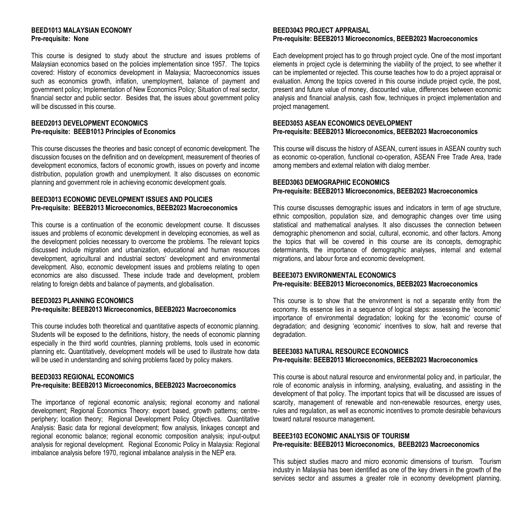#### **BEED1013 MALAYSIAN ECONOMY Pre-requisite: None**

This course is designed to study about the structure and issues problems of Malaysian economics based on the policies implementation since 1957. The topics covered: History of economics development in Malaysia; Macroeconomics issues such as economics growth, inflation, unemployment, balance of payment and government policy; Implementation of New Economics Policy; Situation of real sector, financial sector and public sector. Besides that, the issues about government policy will be discussed in this course.

## **BEED2013 DEVELOPMENT ECONOMICS Pre-requisite: BEEB1013 Principles of Economics**

This course discusses the theories and basic concept of economic development. The discussion focuses on the definition and on development, measurement of theories of development economics, factors of economic growth, issues on poverty and income distribution, population growth and unemployment. It also discusses on economic planning and government role in achieving economic development goals.

#### **BEED3013 ECONOMIC DEVELOPMENT ISSUES AND POLICIES Pre-requisite: BEEB2013 Microeconomics, BEEB2023 Macroeconomics**

This course is a continuation of the economic development course. It discusses issues and problems of economic development in developing economies, as well as the development policies necessary to overcome the problems. The relevant topics discussed include migration and urbanization, educational and human resources development, agricultural and industrial sectors' development and environmental development. Also, economic development issues and problems relating to open economics are also discussed. These include trade and development, problem relating to foreign debts and balance of payments, and globalisation.

#### **BEED3023 PLANNING ECONOMICS**

#### **Pre-requisite: BEEB2013 Microeconomics, BEEB2023 Macroeconomics**

This course includes both theoretical and quantitative aspects of economic planning. Students will be exposed to the definitions, history, the needs of economic planning especially in the third world countries, planning problems, tools used in economic planning etc. Quantitatively, development models will be used to illustrate how data will be used in understanding and solving problems faced by policy makers.

#### **BEED3033 REGIONAL ECONOMICS Pre-requisite: BEEB2013 Microeconomics, BEEB2023 Macroeconomics**

The importance of regional economic analysis; regional economy and national development; Regional Economics Theory: export based, growth patterns; centreperiphery; location theory; Regional Development Policy Objectives. Quantitative Analysis: Basic data for regional development; flow analysis, linkages concept and regional economic balance; regional economic composition analysis; input-output analysis for regional development. Regional Economic Policy in Malaysia: Regional imbalance analysis before 1970, regional imbalance analysis in the NEP era.

#### **BEED3043 PROJECT APPRAISAL Pre-requisite: BEEB2013 Microeconomics, BEEB2023 Macroeconomics**

Each development project has to go through project cycle. One of the most important elements in project cycle is determining the viability of the project, to see whether it can be implemented or rejected. This course teaches how to do a project appraisal or evaluation. Among the topics covered in this course include project cycle, the post, present and future value of money, discounted value, differences between economic analysis and financial analysis, cash flow, techniques in project implementation and project management.

#### **BEED3053 ASEAN ECONOMICS DEVELOPMENT Pre-requisite: BEEB2013 Microeconomics, BEEB2023 Macroeconomics**

This course will discuss the history of ASEAN, current issues in ASEAN country such as economic co-operation, functional co-operation, ASEAN Free Trade Area, trade among members and external relation with dialog member.

## **BEED3063 DEMOGRAPHIC ECONOMICS Pre-requisite: BEEB2013 Microeconomics, BEEB2023 Macroeconomics**

This course discusses demographic issues and indicators in term of age structure, ethnic composition, population size, and demographic changes over time using statistical and mathematical analyses. It also discusses the connection between demographic phenomenon and social, cultural, economic, and other factors. Among the topics that will be covered in this course are its concepts, demographic determinants, the importance of demographic analyses, internal and external migrations, and labour force and economic development.

#### **BEEE3073 ENVIRONMENTAL ECONOMICS Pre-requisite: BEEB2013 Microeconomics, BEEB2023 Macroeconomics**

This course is to show that the environment is not a separate entity from the economy. Its essence lies in a sequence of logical steps: assessing the 'economic' importance of environmental degradation; looking for the 'economic' course of degradation; and designing 'economic' incentives to slow, halt and reverse that degradation.

#### **BEEE3083 NATURAL RESOURCE ECONOMICS Pre-requisite: BEEB2013 Microeconomics, BEEB2023 Macroeconomics**

This course is about natural resource and environmental policy and, in particular, the role of economic analysis in informing, analysing, evaluating, and assisting in the development of that policy. The important topics that will be discussed are issues of scarcity, management of renewable and non-renewable resources, energy uses, rules and regulation, as well as economic incentives to promote desirable behaviours toward natural resource management.

## **BEEE3103 ECONOMIC ANALYSIS OF TOURISM Pre-requisite: BEEB2013 Microeconomics, BEEB2023 Macroeconomics**

This subject studies macro and micro economic dimensions of tourism. Tourism industry in Malaysia has been identified as one of the key drivers in the growth of the services sector and assumes a greater role in economy development planning.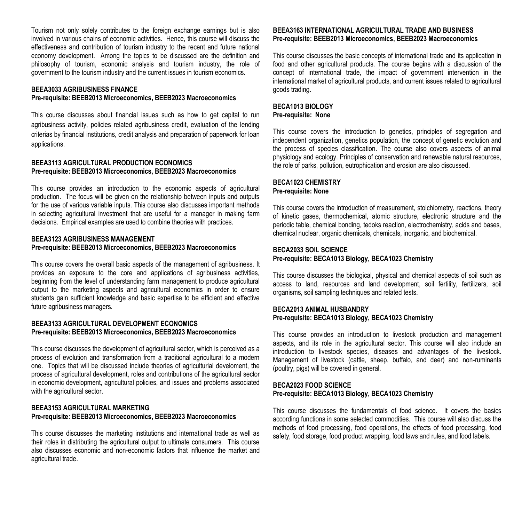Tourism not only solely contributes to the foreign exchange earnings but is also involved in various chains of economic activities. Hence, this course will discuss the effectiveness and contribution of tourism industry to the recent and future national economy development. Among the topics to be discussed are the definition and philosophy of tourism, economic analysis and tourism industry, the role of government to the tourism industry and the current issues in tourism economics.

#### **BEEA3033 AGRIBUSINESS FINANCE Pre-requisite: BEEB2013 Microeconomics, BEEB2023 Macroeconomics**

This course discusses about financial issues such as how to get capital to run agribusiness activity, policies related agribusiness credit, evaluation of the lending criterias by financial institutions, credit analysis and preparation of paperwork for loan applications.

#### **BEEA3113 AGRICULTURAL PRODUCTION ECONOMICS Pre-requisite: BEEB2013 Microeconomics, BEEB2023 Macroeconomics**

This course provides an introduction to the economic aspects of agricultural production. The focus will be given on the relationship between inputs and outputs for the use of various variable inputs. This course also discusses important methods in selecting agricultural investment that are useful for a manager in making farm decisions. Empirical examples are used to combine theories with practices.

#### **BEEA3123 AGRIBUSINESS MANAGEMENT Pre-requisite: BEEB2013 Microeconomics, BEEB2023 Macroeconomics**

This course covers the overall basic aspects of the management of agribusiness. It provides an exposure to the core and applications of agribusiness activities, beginning from the level of understanding farm management to produce agricultural output to the marketing aspects and agricultural economics in order to ensure students gain sufficient knowledge and basic expertise to be efficient and effective future agribusiness managers.

#### **BEEA3133 AGRICULTURAL DEVELOPMENT ECONOMICS Pre-requisite: BEEB2013 Microeconomics, BEEB2023 Macroeconomics**

This course discusses the development of agricultural sector, which is perceived as a process of evolution and transformation from a traditional agricultural to a modern one. Topics that will be discussed include theories of agriculturlal develoment, the process of agricultural development, roles and contributions of the agricultural sector in economic development, agricultural policies, and issues and problems associated with the agricultural sector.

#### **BEEA3153 AGRICULTURAL MARKETING Pre-requisite: BEEB2013 Microeconomics, BEEB2023 Macroeconomics**

This course discusses the marketing institutions and international trade as well as their roles in distributing the agricultural output to ultimate consumers. This course also discusses economic and non-economic factors that influence the market and agricultural trade.

#### **BEEA3163 INTERNATIONAL AGRICULTURAL TRADE AND BUSINESS Pre-requisite: BEEB2013 Microeconomics, BEEB2023 Macroeconomics**

This course discusses the basic concepts of international trade and its application in food and other agricultural products. The course begins with a discussion of the concept of international trade, the impact of government intervention in the international market of agricultural products, and current issues related to agricultural goods trading.

#### **BECA1013 BIOLOGY Pre-requisite: None**

This course covers the introduction to genetics, principles of segregation and independent organization, genetics population, the concept of genetic evolution and the process of species classification. The course also covers aspects of animal physiology and ecology. Principles of conservation and renewable natural resources, the role of parks, pollution, eutrophication and erosion are also discussed.

#### **BECA1023 CHEMISTRY Pre-requisite: None**

This course covers the introduction of measurement, stoichiometry, reactions, theory of kinetic gases, thermochemical, atomic structure, electronic structure and the periodic table, chemical bonding, tedoks reaction, electrochemistry, acids and bases, chemical nuclear, organic chemicals, chemicals, inorganic, and biochemical.

# **BECA2033 SOIL SCIENCE**

**Pre-requisite: BECA1013 Biology, BECA1023 Chemistry**

This course discusses the biological, physical and chemical aspects of soil such as access to land, resources and land development, soil fertility, fertilizers, soil organisms, soil sampling techniques and related tests.

### **BECA2013 ANIMAL HUSBANDRY Pre-requisite: BECA1013 Biology, BECA1023 Chemistry**

This course provides an introduction to livestock production and management aspects, and its role in the agricultural sector. This course will also include an introduction to livestock species, diseases and advantages of the livestock. Management of livestock (cattle, sheep, buffalo, and deer) and non-ruminants (poultry, pigs) will be covered in general.

#### **BECA2023 FOOD SCIENCE Pre-requisite: BECA1013 Biology, BECA1023 Chemistry**

This course discusses the fundamentals of food science. It covers the basics according functions in some selected commodities. This course will also discuss the methods of food processing, food operations, the effects of food processing, food safety, food storage, food product wrapping, food laws and rules, and food labels.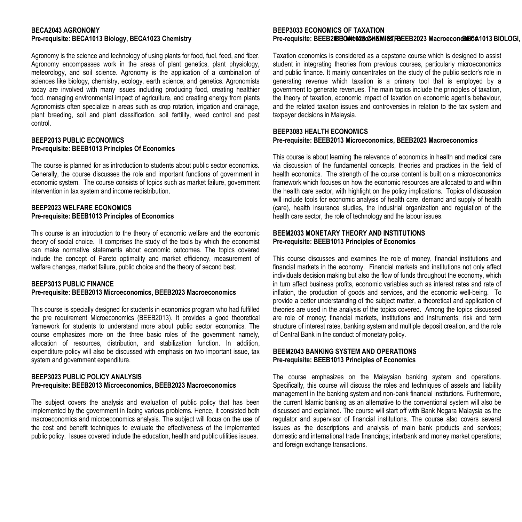# **BECA2043 AGRONOMY**

Agronomy is the science and technology of using plants for food, fuel, feed, and fiber. Agronomy encompasses work in the areas of plant genetics, plant physiology, meteorology, and soil science. Agronomy is the application of a combination of sciences like biology, chemistry, ecology, earth science, and genetics. Agronomists today are involved with many issues including producing food, creating healthier food, managing environmental impact of agriculture, and creating energy from plants Agronomists often specialize in areas such as crop rotation, irrigation and drainage, plant breeding, soil and plant classification, soil fertility, weed control and pest control.

#### **BEEP2013 PUBLIC ECONOMICS Pre-requisite: BEEB1013 Principles Of Economics**

The course is planned for as introduction to students about public sector economics. Generally, the course discusses the role and important functions of government in economic system. The course consists of topics such as market failure, government intervention in tax system and income redistribution.

#### **BEEP2023 WELFARE ECONOMICS Pre-requisite: BEEB1013 Principles of Economics**

This course is an introduction to the theory of economic welfare and the economic theory of social choice. It comprises the study of the tools by which the economist can make normative statements about economic outcomes. The topics covered include the concept of Pareto optimality and market efficiency, measurement of welfare changes, market failure, public choice and the theory of second best.

#### **BEEP3013 PUBLIC FINANCE Pre-requisite: BEEB2013 Microeconomics, BEEB2023 Macroeconomics**

This course is specially designed for students in economics program who had fulfilled the pre requirement Microeconomics (BEEB2013). It provides a good theoretical framework for students to understand more about public sector economics. The course emphasizes more on the three basic roles of the government namely, allocation of resources, distribution, and stabilization function. In addition, expenditure policy will also be discussed with emphasis on two important issue, tax system and government expenditure.

### **BEEP3023 PUBLIC POLICY ANALYSIS Pre-requisite: BEEB2013 Microeconomics, BEEB2023 Macroeconomics**

The subject covers the analysis and evaluation of public policy that has been implemented by the government in facing various problems. Hence, it consisted both macroeconomics and microeconomics analysis. The subject will focus on the use of the cost and benefit techniques to evaluate the effectiveness of the implemented public policy. Issues covered include the education, health and public utilities issues.

## **BEEP3033 ECONOMICS OF TAXATION**

#### Pre-requisite: BECA1013 Biology, BECA1023 Chemistry **Biology and Biology and Biology and Biology, BECA1023 Chemistry Became Becanomics, BEEB2<b>03BCMit026cCMERCA1013 BIOLOGI,** BIOLOGI,

Taxation economics is considered as a capstone course which is designed to assist student in integrating theories from previous courses, particularly microeconomics and public finance. It mainly concentrates on the study of the public sector's role in generating revenue which taxation is a primary tool that is employed by a government to generate revenues. The main topics include the principles of taxation, the theory of taxation, economic impact of taxation on economic agent's behaviour, and the related taxation issues and controversies in relation to the tax system and taxpayer decisions in Malaysia.

#### **BEEP3083 HEALTH ECONOMICS Pre-requisite: BEEB2013 Microeconomics, BEEB2023 Macroeconomics**

This course is about learning the relevance of economics in health and medical care via discussion of the fundamental concepts, theories and practices in the field of health economics. The strength of the course content is built on a microeconomics framework which focuses on how the economic resources are allocated to and within the health care sector, with highlight on the policy implications. Topics of discussion will include tools for economic analysis of health care, demand and supply of health (care), health insurance studies, the industrial organization and regulation of the health care sector, the role of technology and the labour issues.

## **BEEM2033 MONETARY THEORY AND INSTITUTIONS Pre-requisite: BEEB1013 Principles of Economics**

This course discusses and examines the role of money, financial institutions and financial markets in the economy. Financial markets and institutions not only affect individuals decision making but also the flow of funds throughout the economy, which in turn affect business profits, economic variables such as interest rates and rate of inflation, the production of goods and services, and the economic well-being. To provide a better understanding of the subject matter, a theoretical and application of theories are used in the analysis of the topics covered. Among the topics discussed are role of money; financial markets, institutions and instruments; risk and term structure of interest rates, banking system and multiple deposit creation, and the role of Central Bank in the conduct of monetary policy.

#### **BEEM2043 BANKING SYSTEM AND OPERATIONS Pre-requisite: BEEB1013 Principles of Economics**

The course emphasizes on the Malaysian banking system and operations. Specifically, this course will discuss the roles and techniques of assets and liability management in the banking system and non-bank financial institutions. Furthermore, the current Islamic banking as an alternative to the conventional system will also be discussed and explained. The course will start off with Bank Negara Malaysia as the regulator and supervisor of financial institutions. The course also covers several issues as the descriptions and analysis of main bank products and services; domestic and international trade financings; interbank and money market operations; and foreign exchange transactions.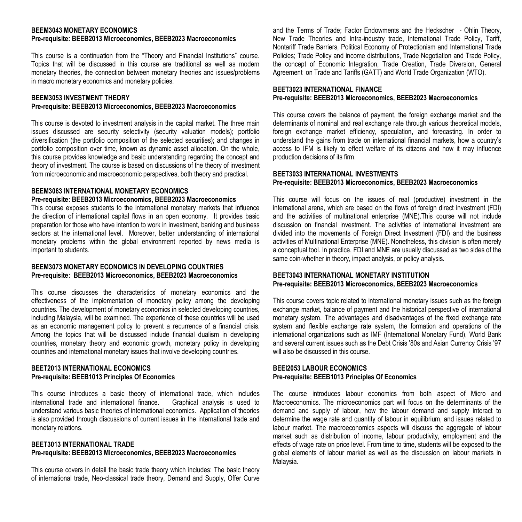#### **BEEM3043 MONETARY ECONOMICS Pre-requisite: BEEB2013 Microeconomics, BEEB2023 Macroeconomics**

This course is a continuation from the "Theory and Financial Institutions" course. Topics that will be discussed in this course are traditional as well as modern monetary theories, the connection between monetary theories and issues/problems in macro monetary economics and monetary policies.

#### **BEEM3053 INVESTMENT THEORY Pre-requisite: BEEB2013 Microeconomics, BEEB2023 Macroeconomics**

This course is devoted to investment analysis in the capital market. The three main issues discussed are security selectivity (security valuation models); portfolio diversification (the portfolio composition of the selected securities); and changes in portfolio composition over time, known as dynamic asset allocation. On the whole, this course provides knowledge and basic understanding regarding the concept and theory of investment. The course is based on discussions of the theory of investment from microeconomic and macroeconomic perspectives, both theory and practical.

## **BEEM3063 INTERNATIONAL MONETARY ECONOMICS**

#### **Pre-requisite: BEEB2013 Microeconomics, BEEB2023 Macroeconomics**

This course exposes students to the international monetary markets that influence the direction of international capital flows in an open economy. It provides basic preparation for those who have intention to work in investment, banking and business sectors at the international level. Moreover, better understanding of international monetary problems within the global environment reported by news media is important to students.

#### **BEEM3073 MONETARY ECONOMICS IN DEVELOPING COUNTRIES Pre-requisite: BEEB2013 Microeconomics, BEEB2023 Macroeconomics**

This course discusses the characteristics of monetary economics and the effectiveness of the implementation of monetary policy among the developing countries. The development of monetary economics in selected developing countries, including Malaysia, will be examined. The experience of these countries will be used as an economic management policy to prevent a recurrence of a financial crisis. Among the topics that will be discussed include financial dualism in developing countries, monetary theory and economic growth, monetary policy in developing countries and international monetary issues that involve developing countries.

## **BEET2013 INTERNATIONAL ECONOMICS Pre-requisite: BEEB1013 Principles Of Economics**

This course introduces a basic theory of international trade, which includes<br>international trade and international finance. Graphical analysis is used to international trade and international finance understand various basic theories of international economics. Application of theories is also provided through discussions of current issues in the international trade and monetary relations.

## **BEET3013 INTERNATIONAL TRADE Pre-requisite: BEEB2013 Microeconomics, BEEB2023 Macroeconomics**

This course covers in detail the basic trade theory which includes: The basic theory of international trade, Neo-classical trade theory, Demand and Supply, Offer Curve

and the Terms of Trade; Factor Endowments and the Heckscher - Ohlin Theory, New Trade Theories and Intra-industry trade, International Trade Policy, Tariff, Nontariff Trade Barriers, Political Economy of Protectionism and International Trade Policies; Trade Policy and income distributions, Trade Negotiation and Trade Policy, the concept of Economic Integration, Trade Creation, Trade Diversion, General Agreement on Trade and Tariffs (GATT) and World Trade Organization (WTO).

#### **BEET3023 INTERNATIONAL FINANCE**

## **Pre-requisite: BEEB2013 Microeconomics, BEEB2023 Macroeconomics**

This course covers the balance of payment, the foreign exchange market and the determinants of nominal and real exchange rate through various theoretical models. foreign exchange market efficiency, speculation, and forecasting. In order to understand the gains from trade on international financial markets, how a country's access to IFM is likely to effect welfare of its citizens and how it may influence production decisions of its firm.

## **BEET3033 INTERNATIONAL INVESTMENTS Pre-requisite: BEEB2013 Microeconomics, BEEB2023 Macroeconomics**

This course will focus on the issues of real (productive) investment in the international arena, which are based on the flows of foreign direct investment (FDI) and the activities of multinational enterprise (MNE).This course will not include discussion on financial investment. The activities of international investment are divided into the movements of Foreign Direct Investment (FDI) and the business activities of Multinational Enterprise (MNE). Nonetheless, this division is often merely a conceptual tool. In practice, FDI and MNE are usually discussed as two sides of the same coin-whether in theory, impact analysis, or policy analysis.

## **BEET3043 INTERNATIONAL MONETARY INSTITUTION Pre-requisite: BEEB2013 Microeconomics, BEEB2023 Macroeconomics**

This course covers topic related to international monetary issues such as the foreign exchange market, balance of payment and the historical perspective of international monetary system. The advantages and disadvantages of the fixed exchange rate system and flexible exchange rate system, the formation and operations of the international organizations such as IMF (International Monetary Fund), World Bank and several current issues such as the Debt Crisis '80s and Asian Currency Crisis '97 will also be discussed in this course.

## **BEEI2053 LABOUR ECONOMICS Pre-requisite: BEEB1013 Principles Of Economics**

The course introduces labour economics from both aspect of Micro and Macroeconomics. The microeconomics part will focus on the determinants of the demand and supply of labour, how the labour demand and supply interact to determine the wage rate and quantity of labour in equilibrium, and issues related to labour market. The macroeconomics aspects will discuss the aggregate of labour market such as distribution of income, labour productivity, employment and the effects of wage rate on price level. From time to time, students will be exposed to the global elements of labour market as well as the discussion on labour markets in Malaysia.